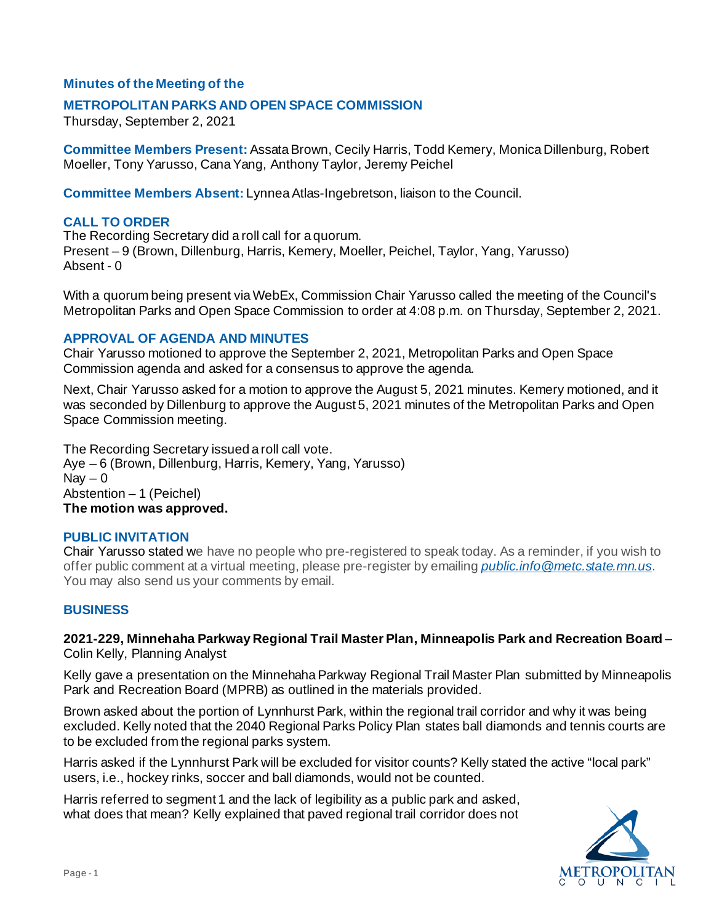# **Minutes of the Meeting of the**

## **METROPOLITAN PARKS AND OPEN SPACE COMMISSION**

Thursday, September 2, 2021

**Committee Members Present:** Assata Brown, Cecily Harris, Todd Kemery, Monica Dillenburg, Robert Moeller, Tony Yarusso, Cana Yang, Anthony Taylor, Jeremy Peichel

**Committee Members Absent:** Lynnea Atlas-Ingebretson, liaison to the Council.

## **CALL TO ORDER**

The Recording Secretary did a roll call for a quorum. Present – 9 (Brown, Dillenburg, Harris, Kemery, Moeller, Peichel, Taylor, Yang, Yarusso) Absent - 0

With a quorum being present via WebEx, Commission Chair Yarusso called the meeting of the Council's Metropolitan Parks and Open Space Commission to order at 4:08 p.m. on Thursday, September 2, 2021.

### **APPROVAL OF AGENDA AND MINUTES**

Chair Yarusso motioned to approve the September 2, 2021, Metropolitan Parks and Open Space Commission agenda and asked for a consensus to approve the agenda.

Next, Chair Yarusso asked for a motion to approve the August 5, 2021 minutes. Kemery motioned, and it was seconded by Dillenburg to approve the August 5, 2021 minutes of the Metropolitan Parks and Open Space Commission meeting.

The Recording Secretary issued a roll call vote. Aye – 6 (Brown, Dillenburg, Harris, Kemery, Yang, Yarusso)  $\text{Nav} - 0$ Abstention – 1 (Peichel) **The motion was approved.**

### **PUBLIC INVITATION**

Chair Yarusso stated we have no people who pre-registered to speak today. As a reminder, if you wish to offer public comment at a virtual meeting, please pre-register by emailing *[public.info@metc.state.mn.us](mailto:public.info@metc.state.mn.us)*. You may also send us your comments by email.

### **BUSINESS**

**2021-229, Minnehaha Parkway Regional Trail Master Plan, Minneapolis Park and Recreation Board** – Colin Kelly, Planning Analyst

Kelly gave a presentation on the Minnehaha Parkway Regional Trail Master Plan submitted by Minneapolis Park and Recreation Board (MPRB) as outlined in the materials provided.

Brown asked about the portion of Lynnhurst Park, within the regional trail corridor and why it was being excluded. Kelly noted that the 2040 Regional Parks Policy Plan states ball diamonds and tennis courts are to be excluded from the regional parks system.

Harris asked if the Lynnhurst Park will be excluded for visitor counts? Kelly stated the active "local park" users, i.e., hockey rinks, soccer and ball diamonds, would not be counted.

Harris referred to segment 1 and the lack of legibility as a public park and asked, what does that mean? Kelly explained that paved regional trail corridor does not

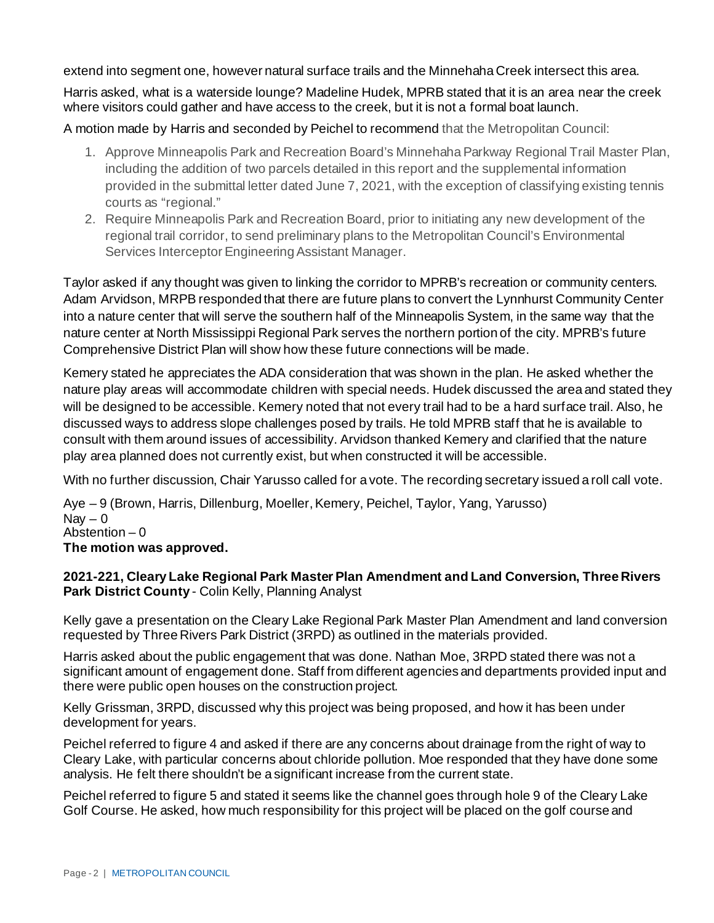extend into segment one, however natural surface trails and the Minnehaha Creek intersect this area.

Harris asked, what is a waterside lounge? Madeline Hudek, MPRB stated that it is an area near the creek where visitors could gather and have access to the creek, but it is not a formal boat launch.

A motion made by Harris and seconded by Peichel to recommend that the Metropolitan Council:

- 1. Approve Minneapolis Park and Recreation Board's Minnehaha Parkway Regional Trail Master Plan, including the addition of two parcels detailed in this report and the supplemental information provided in the submittal letter dated June 7, 2021, with the exception of classifying existing tennis courts as "regional."
- 2. Require Minneapolis Park and Recreation Board, prior to initiating any new development of the regional trail corridor, to send preliminary plans to the Metropolitan Council's Environmental Services Interceptor Engineering Assistant Manager.

Taylor asked if any thought was given to linking the corridor to MPRB's recreation or community centers. Adam Arvidson, MRPB responded that there are future plans to convert the Lynnhurst Community Center into a nature center that will serve the southern half of the Minneapolis System, in the same way that the nature center at North Mississippi Regional Park serves the northern portion of the city. MPRB's future Comprehensive District Plan will show how these future connections will be made.

Kemery stated he appreciates the ADA consideration that was shown in the plan. He asked whether the nature play areas will accommodate children with special needs. Hudek discussed the area and stated they will be designed to be accessible. Kemery noted that not every trail had to be a hard surface trail. Also, he discussed ways to address slope challenges posed by trails. He told MPRB staff that he is available to consult with them around issues of accessibility. Arvidson thanked Kemery and clarified that the nature play area planned does not currently exist, but when constructed it will be accessible.

With no further discussion, Chair Yarusso called for a vote. The recording secretary issued a roll call vote.

Aye – 9 (Brown, Harris, Dillenburg, Moeller, Kemery, Peichel, Taylor, Yang, Yarusso)  $\text{Nav} - 0$ Abstention  $-0$ **The motion was approved.**

# **2021-221, Cleary Lake Regional Park Master Plan Amendment and Land Conversion, Three Rivers Park District County** - Colin Kelly, Planning Analyst

Kelly gave a presentation on the Cleary Lake Regional Park Master Plan Amendment and land conversion requested by Three Rivers Park District (3RPD) as outlined in the materials provided.

Harris asked about the public engagement that was done. Nathan Moe, 3RPD stated there was not a significant amount of engagement done. Staff from different agencies and departments provided input and there were public open houses on the construction project.

Kelly Grissman, 3RPD, discussed why this project was being proposed, and how it has been under development for years.

Peichel referred to figure 4 and asked if there are any concerns about drainage from the right of way to Cleary Lake, with particular concerns about chloride pollution. Moe responded that they have done some analysis. He felt there shouldn't be a significant increase from the current state.

Peichel referred to figure 5 and stated it seems like the channel goes through hole 9 of the Cleary Lake Golf Course. He asked, how much responsibility for this project will be placed on the golf course and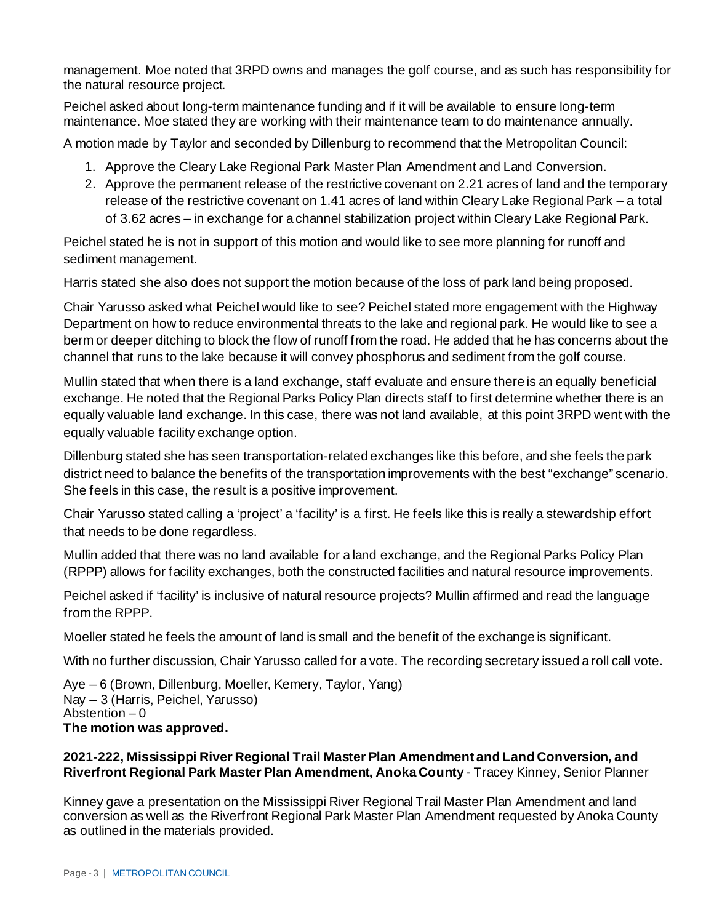management. Moe noted that 3RPD owns and manages the golf course, and as such has responsibility for the natural resource project.

Peichel asked about long-term maintenance funding and if it will be available to ensure long-term maintenance. Moe stated they are working with their maintenance team to do maintenance annually.

A motion made by Taylor and seconded by Dillenburg to recommend that the Metropolitan Council:

- 1. Approve the Cleary Lake Regional Park Master Plan Amendment and Land Conversion.
- 2. Approve the permanent release of the restrictive covenant on 2.21 acres of land and the temporary release of the restrictive covenant on 1.41 acres of land within Cleary Lake Regional Park – a total of 3.62 acres – in exchange for a channel stabilization project within Cleary Lake Regional Park.

Peichel stated he is not in support of this motion and would like to see more planning for runoff and sediment management.

Harris stated she also does not support the motion because of the loss of park land being proposed.

Chair Yarusso asked what Peichel would like to see? Peichel stated more engagement with the Highway Department on how to reduce environmental threats to the lake and regional park. He would like to see a berm or deeper ditching to block the flow of runoff from the road. He added that he has concerns about the channel that runs to the lake because it will convey phosphorus and sediment from the golf course.

Mullin stated that when there is a land exchange, staff evaluate and ensure there is an equally beneficial exchange. He noted that the Regional Parks Policy Plan directs staff to first determine whether there is an equally valuable land exchange. In this case, there was not land available, at this point 3RPD went with the equally valuable facility exchange option.

Dillenburg stated she has seen transportation-related exchanges like this before, and she feels the park district need to balance the benefits of the transportation improvements with the best "exchange" scenario. She feels in this case, the result is a positive improvement.

Chair Yarusso stated calling a 'project' a 'facility' is a first. He feels like this is really a stewardship effort that needs to be done regardless.

Mullin added that there was no land available for a land exchange, and the Regional Parks Policy Plan (RPPP) allows for facility exchanges, both the constructed facilities and natural resource improvements.

Peichel asked if 'facility' is inclusive of natural resource projects? Mullin affirmed and read the language from the RPPP.

Moeller stated he feels the amount of land is small and the benefit of the exchange is significant.

With no further discussion, Chair Yarusso called for a vote. The recording secretary issued a roll call vote.

Aye – 6 (Brown, Dillenburg, Moeller, Kemery, Taylor, Yang) Nay – 3 (Harris, Peichel, Yarusso) Abstention  $-0$ **The motion was approved.**

# **2021-222, Mississippi River Regional Trail Master Plan Amendment and Land Conversion, and Riverfront Regional Park Master Plan Amendment, Anoka County** - Tracey Kinney, Senior Planner

Kinney gave a presentation on the Mississippi River Regional Trail Master Plan Amendment and land conversion as well as the Riverfront Regional Park Master Plan Amendment requested by Anoka County as outlined in the materials provided.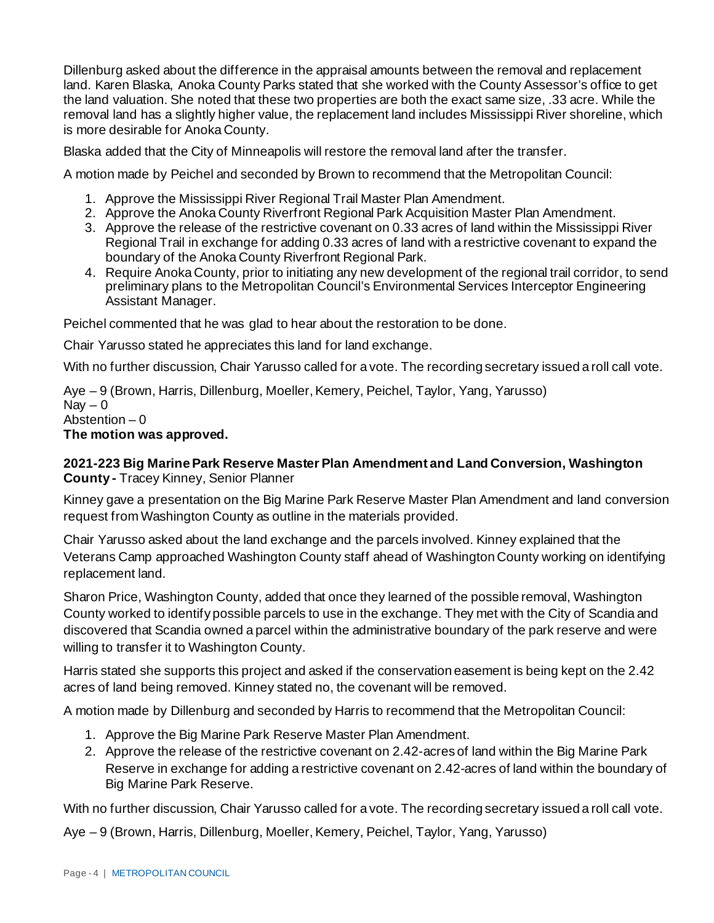Dillenburg asked about the difference in the appraisal amounts between the removal and replacement land. Karen Blaska, Anoka County Parks stated that she worked with the County Assessor's office to get the land valuation. She noted that these two properties are both the exact same size, .33 acre. While the removal land has a slightly higher value, the replacement land includes Mississippi River shoreline, which is more desirable for Anoka County.

Blaska added that the City of Minneapolis will restore the removal land after the transfer.

A motion made by Peichel and seconded by Brown to recommend that the Metropolitan Council:

- 1. Approve the Mississippi River Regional Trail Master Plan Amendment.
- 2. Approve the Anoka County Riverfront Regional Park Acquisition Master Plan Amendment.
- 3. Approve the release of the restrictive covenant on 0.33 acres of land within the Mississippi River Regional Trail in exchange for adding 0.33 acres of land with a restrictive covenant to expand the boundary of the Anoka County Riverfront Regional Park.
- 4. Require Anoka County, prior to initiating any new development of the regional trail corridor, to send preliminary plans to the Metropolitan Council's Environmental Services Interceptor Engineering Assistant Manager.

Peichel commented that he was glad to hear about the restoration to be done.

Chair Yarusso stated he appreciates this land for land exchange.

With no further discussion, Chair Yarusso called for a vote. The recording secretary issued a roll call vote.

Aye – 9 (Brown, Harris, Dillenburg, Moeller, Kemery, Peichel, Taylor, Yang, Yarusso)  $\text{Nav} - 0$ Abstention – 0 **The motion was approved.**

# **2021-223 Big Marine Park Reserve Master Plan Amendment and Land Conversion, Washington County -** Tracey Kinney, Senior Planner

Kinney gave a presentation on the Big Marine Park Reserve Master Plan Amendment and land conversion request from Washington County as outline in the materials provided.

Chair Yarusso asked about the land exchange and the parcels involved. Kinney explained that the Veterans Camp approached Washington County staff ahead of Washington County working on identifying replacement land.

Sharon Price, Washington County, added that once they learned of the possible removal, Washington County worked to identify possible parcels to use in the exchange. They met with the City of Scandia and discovered that Scandia owned a parcel within the administrative boundary of the park reserve and were willing to transfer it to Washington County.

Harris stated she supports this project and asked if the conservation easement is being kept on the 2.42 acres of land being removed. Kinney stated no, the covenant will be removed.

A motion made by Dillenburg and seconded by Harris to recommend that the Metropolitan Council:

- 1. Approve the Big Marine Park Reserve Master Plan Amendment.
- 2. Approve the release of the restrictive covenant on 2.42-acres of land within the Big Marine Park Reserve in exchange for adding a restrictive covenant on 2.42-acres of land within the boundary of Big Marine Park Reserve.

With no further discussion, Chair Yarusso called for a vote. The recording secretary issued a roll call vote.

Aye – 9 (Brown, Harris, Dillenburg, Moeller, Kemery, Peichel, Taylor, Yang, Yarusso)